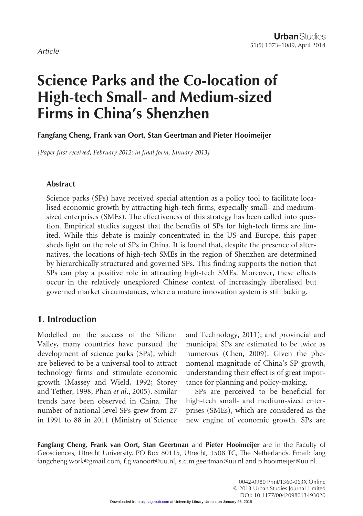# Science Parks and the Co-location of High-tech Small- and Medium-sized Firms in China's Shenzhen

Fangfang Cheng, Frank van Oort, Stan Geertman and Pieter Hooimeijer

[Paper first received, February 2012; in final form, January 2013]

## Abstract

Science parks (SPs) have received special attention as a policy tool to facilitate localised economic growth by attracting high-tech firms, especially small- and mediumsized enterprises (SMEs). The effectiveness of this strategy has been called into question. Empirical studies suggest that the benefits of SPs for high-tech firms are limited. While this debate is mainly concentrated in the US and Europe, this paper sheds light on the role of SPs in China. It is found that, despite the presence of alternatives, the locations of high-tech SMEs in the region of Shenzhen are determined by hierarchically structured and governed SPs. This finding supports the notion that SPs can play a positive role in attracting high-tech SMEs. Moreover, these effects occur in the relatively unexplored Chinese context of increasingly liberalised but governed market circumstances, where a mature innovation system is still lacking.

# 1. Introduction

Modelled on the success of the Silicon Valley, many countries have pursued the development of science parks (SPs), which are believed to be a universal tool to attract technology firms and stimulate economic growth (Massey and Wield, 1992; Storey and Tether, 1998; Phan et al., 2005). Similar trends have been observed in China. The number of national-level SPs grew from 27 in 1991 to 88 in 2011 (Ministry of Science and Technology, 2011); and provincial and municipal SPs are estimated to be twice as numerous (Chen, 2009). Given the phenomenal magnitude of China's SP growth, understanding their effect is of great importance for planning and policy-making.

SPs are perceived to be beneficial for high-tech small- and medium-sized enterprises (SMEs), which are considered as the new engine of economic growth. SPs are

Fangfang Cheng, Frank van Oort, Stan Geertman and Pieter Hooimeijer are in the Faculty of Geosciences, Utrecht University, PO Box 80115, Utrecht, 3508 TC, The Netherlands. Email: fang fangcheng.work@gmail.com, f.g.vanoort@uu.nl, s.c.m.geertman@uu.nl and p.hooimeijer@uu.nl.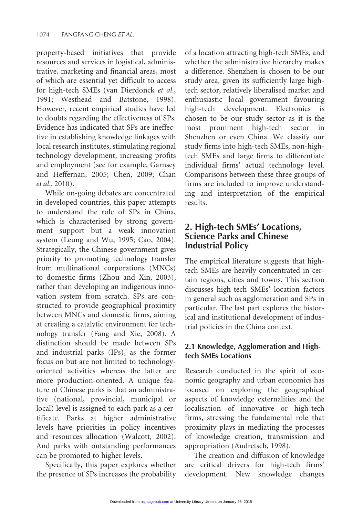property-based initiatives that provide resources and services in logistical, administrative, marketing and financial areas, most of which are essential yet difficult to access for high-tech SMEs (van Dierdonck et al., 1991; Westhead and Batstone, 1998). However, recent empirical studies have led to doubts regarding the effectiveness of SPs. Evidence has indicated that SPs are ineffective in establishing knowledge linkages with local research institutes, stimulating regional technology development, increasing profits and employment (see for example, Garnsey and Heffernan, 2005; Chen, 2009; Chan et al., 2010).

While on-going debates are concentrated in developed countries, this paper attempts to understand the role of SPs in China, which is characterised by strong government support but a weak innovation system (Leung and Wu, 1995; Cao, 2004). Strategically, the Chinese government gives priority to promoting technology transfer from multinational corporations (MNCs) to domestic firms (Zhou and Xin, 2003), rather than developing an indigenous innovation system from scratch. SPs are constructed to provide geographical proximity between MNCs and domestic firms, aiming at creating a catalytic environment for technology transfer (Fang and Xie, 2008). A distinction should be made between SPs and industrial parks (IPs), as the former focus on but are not limited to technologyoriented activities whereas the latter are more production-oriented. A unique feature of Chinese parks is that an administrative (national, provincial, municipal or local) level is assigned to each park as a certificate. Parks at higher administrative levels have priorities in policy incentives and resources allocation (Walcott, 2002). And parks with outstanding performances can be promoted to higher levels.

Specifically, this paper explores whether the presence of SPs increases the probability

of a location attracting high-tech SMEs, and whether the administrative hierarchy makes a difference. Shenzhen is chosen to be our study area, given its sufficiently large hightech sector, relatively liberalised market and enthusiastic local government favouring high-tech development. Electronics is chosen to be our study sector as it is the most prominent high-tech sector in Shenzhen or even China. We classify our study firms into high-tech SMEs, non-hightech SMEs and large firms to differentiate individual firms' actual technology level. Comparisons between these three groups of firms are included to improve understanding and interpretation of the empirical results.

## 2. High-tech SMEs' Locations, Science Parks and Chinese Industrial Policy

The empirical literature suggests that hightech SMEs are heavily concentrated in certain regions, cities and towns. This section discusses high-tech SMEs' location factors in general such as agglomeration and SPs in particular. The last part explores the historical and institutional development of industrial policies in the China context.

## 2.1 Knowledge, Agglomeration and Hightech SMEs Locations

Research conducted in the spirit of economic geography and urban economics has focused on exploring the geographical aspects of knowledge externalities and the localisation of innovative or high-tech firms, stressing the fundamental role that proximity plays in mediating the processes of knowledge creation, transmission and appropriation (Audretsch, 1998).

The creation and diffusion of knowledge are critical drivers for high-tech firms' development. New knowledge changes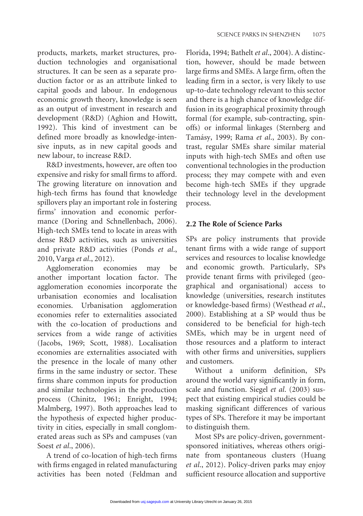products, markets, market structures, production technologies and organisational structures. It can be seen as a separate production factor or as an attribute linked to capital goods and labour. In endogenous economic growth theory, knowledge is seen as an output of investment in research and development (R&D) (Aghion and Howitt, 1992). This kind of investment can be defined more broadly as knowledge-intensive inputs, as in new capital goods and new labour, to increase R&D.

R&D investments, however, are often too expensive and risky for small firms to afford. The growing literature on innovation and high-tech firms has found that knowledge spillovers play an important role in fostering firms' innovation and economic performance (Doring and Schnellenbach, 2006). High-tech SMEs tend to locate in areas with dense R&D activities, such as universities and private R&D activities (Ponds et al., 2010, Varga et al., 2012).

Agglomeration economies may be another important location factor. The agglomeration economies incorporate the urbanisation economies and localisation economies. Urbanisation agglomeration economies refer to externalities associated with the co-location of productions and services from a wide range of activities (Jacobs, 1969; Scott, 1988). Localisation economies are externalities associated with the presence in the locale of many other firms in the same industry or sector. These firms share common inputs for production and similar technologies in the production process (Chinitz, 1961; Enright, 1994; Malmberg, 1997). Both approaches lead to the hypothesis of expected higher productivity in cities, especially in small conglomerated areas such as SPs and campuses (van Soest et al., 2006).

A trend of co-location of high-tech firms with firms engaged in related manufacturing activities has been noted (Feldman and Florida, 1994; Bathelt et al., 2004). A distinction, however, should be made between large firms and SMEs. A large firm, often the leading firm in a sector, is very likely to use up-to-date technology relevant to this sector and there is a high chance of knowledge diffusion in its geographical proximity through formal (for example, sub-contracting, spinoffs) or informal linkages (Sternberg and Tamásy, 1999; Rama et al., 2003). By contrast, regular SMEs share similar material inputs with high-tech SMEs and often use conventional technologies in the production process; they may compete with and even become high-tech SMEs if they upgrade their technology level in the development process.

#### 2.2 The Role of Science Parks

SPs are policy instruments that provide tenant firms with a wide range of support services and resources to localise knowledge and economic growth. Particularly, SPs provide tenant firms with privileged (geographical and organisational) access to knowledge (universities, research institutes or knowledge-based firms) (Westhead et al., 2000). Establishing at a SP would thus be considered to be beneficial for high-tech SMEs, which may be in urgent need of those resources and a platform to interact with other firms and universities, suppliers and customers.

Without a uniform definition, SPs around the world vary significantly in form, scale and function. Siegel et al. (2003) suspect that existing empirical studies could be masking significant differences of various types of SPs. Therefore it may be important to distinguish them.

Most SPs are policy-driven, governmentsponsored initiatives, whereas others originate from spontaneous clusters (Huang et al., 2012). Policy-driven parks may enjoy sufficient resource allocation and supportive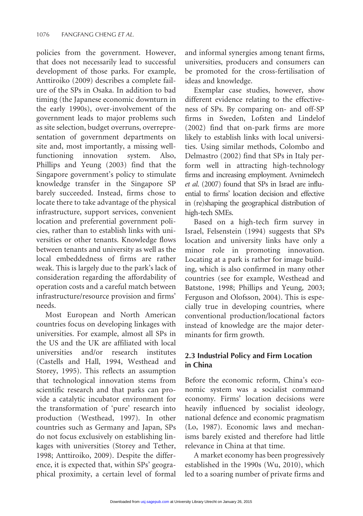policies from the government. However, that does not necessarily lead to successful development of those parks. For example, Anttiroiko (2009) describes a complete failure of the SPs in Osaka. In addition to bad timing (the Japanese economic downturn in the early 1990s), over-involvement of the government leads to major problems such as site selection, budget overruns, overrepresentation of government departments on site and, most importantly, a missing wellfunctioning innovation system. Also, Phillips and Yeung (2003) find that the Singapore government's policy to stimulate knowledge transfer in the Singapore SP barely succeeded. Instead, firms chose to locate there to take advantage of the physical infrastructure, support services, convenient location and preferential government policies, rather than to establish links with universities or other tenants. Knowledge flows between tenants and university as well as the local embeddedness of firms are rather weak. This is largely due to the park's lack of consideration regarding the affordability of operation costs and a careful match between infrastructure/resource provision and firms' needs.

Most European and North American countries focus on developing linkages with universities. For example, almost all SPs in the US and the UK are affiliated with local universities and/or research institutes (Castells and Hall, 1994, Westhead and Storey, 1995). This reflects an assumption that technological innovation stems from scientific research and that parks can provide a catalytic incubator environment for the transformation of 'pure' research into production (Westhead, 1997). In other countries such as Germany and Japan, SPs do not focus exclusively on establishing linkages with universities (Storey and Tether, 1998; Anttiroiko, 2009). Despite the difference, it is expected that, within SPs' geographical proximity, a certain level of formal

and informal synergies among tenant firms, universities, producers and consumers can be promoted for the cross-fertilisation of ideas and knowledge.

Exemplar case studies, however, show different evidence relating to the effectiveness of SPs. By comparing on- and off-SP firms in Sweden, Lofsten and Lindelof (2002) find that on-park firms are more likely to establish links with local universities. Using similar methods, Colombo and Delmastro (2002) find that SPs in Italy perform well in attracting high-technology firms and increasing employment. Avnimelech et al. (2007) found that SPs in Israel are influential to firms' location decision and effective in (re)shaping the geographical distribution of high-tech SMEs.

Based on a high-tech firm survey in Israel, Felsenstein (1994) suggests that SPs location and university links have only a minor role in promoting innovation. Locating at a park is rather for image building, which is also confirmed in many other countries (see for example, Westhead and Batstone, 1998; Phillips and Yeung, 2003; Ferguson and Olofsson, 2004). This is especially true in developing countries, where conventional production/locational factors instead of knowledge are the major determinants for firm growth.

## 2.3 Industrial Policy and Firm Location in China

Before the economic reform, China's economic system was a socialist command economy. Firms' location decisions were heavily influenced by socialist ideology, national defence and economic pragmatism (Lo, 1987). Economic laws and mechanisms barely existed and therefore had little relevance in China at that time.

A market economy has been progressively established in the 1990s (Wu, 2010), which led to a soaring number of private firms and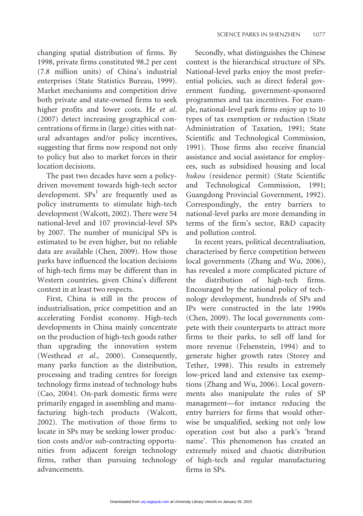changing spatial distribution of firms. By 1998, private firms constituted 98.2 per cent (7.8 million units) of China's industrial enterprises (State Statistics Bureau, 1999). Market mechanisms and competition drive both private and state-owned firms to seek higher profits and lower costs. He et al. (2007) detect increasing geographical concentrations of firms in (large) cities with natural advantages and/or policy incentives, suggesting that firms now respond not only to policy but also to market forces in their location decisions.

The past two decades have seen a policydriven movement towards high-tech sector development.  $SPs<sup>1</sup>$  are frequently used as policy instruments to stimulate high-tech development (Walcott, 2002). There were 54 national-level and 107 provincial-level SPs by 2007. The number of municipal SPs is estimated to be even higher, but no reliable data are available (Chen, 2009). How those parks have influenced the location decisions of high-tech firms may be different than in Western countries, given China's different context in at least two respects.

First, China is still in the process of industrialisation, price competition and an accelerating Fordist economy. High-tech developments in China mainly concentrate on the production of high-tech goods rather than upgrading the innovation system (Westhead et al., 2000). Consequently, many parks function as the distribution, processing and trading centres for foreign technology firms instead of technology hubs (Cao, 2004). On-park domestic firms were primarily engaged in assembling and manufacturing high-tech products (Walcott, 2002). The motivation of those firms to locate in SPs may be seeking lower production costs and/or sub-contracting opportunities from adjacent foreign technology firms, rather than pursuing technology advancements.

Secondly, what distinguishes the Chinese context is the hierarchical structure of SPs. National-level parks enjoy the most preferential policies, such as direct federal government funding, government-sponsored programmes and tax incentives. For example, national-level park firms enjoy up to 10 types of tax exemption or reduction (State Administration of Taxation, 1991; State Scientific and Technological Commission, 1991). Those firms also receive financial assistance and social assistance for employees, such as subsidised housing and local hukou (residence permit) (State Scientific and Technological Commission, 1991; Guangdong Provincial Government, 1992). Correspondingly, the entry barriers to national-level parks are more demanding in terms of the firm's sector, R&D capacity and pollution control.

In recent years, political decentralisation, characterised by fierce competition between local governments (Zhang and Wu, 2006), has revealed a more complicated picture of the distribution of high-tech firms. Encouraged by the national policy of technology development, hundreds of SPs and IPs were constructed in the late 1990s (Chen, 2009). The local governments compete with their counterparts to attract more firms to their parks, to sell off land for more revenue (Felsenstein, 1994) and to generate higher growth rates (Storey and Tether, 1998). This results in extremely low-priced land and extensive tax exemptions (Zhang and Wu, 2006). Local governments also manipulate the rules of SP management—for instance reducing the entry barriers for firms that would otherwise be unqualified, seeking not only low operation cost but also a park's 'brand name'. This phenomenon has created an extremely mixed and chaotic distribution of high-tech and regular manufacturing firms in SPs.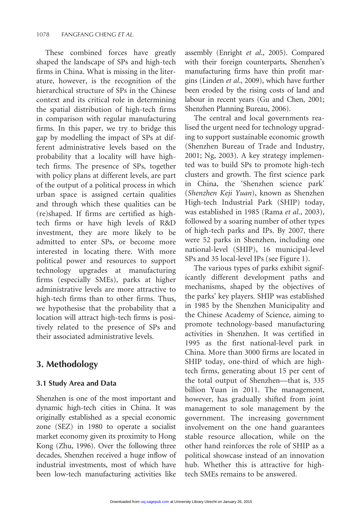These combined forces have greatly shaped the landscape of SPs and high-tech firms in China. What is missing in the literature, however, is the recognition of the hierarchical structure of SPs in the Chinese context and its critical role in determining the spatial distribution of high-tech firms in comparison with regular manufacturing firms. In this paper, we try to bridge this gap by modelling the impact of SPs at different administrative levels based on the probability that a locality will have hightech firms. The presence of SPs, together with policy plans at different levels, are part of the output of a political process in which urban space is assigned certain qualities and through which these qualities can be (re)shaped. If firms are certified as hightech firms or have high levels of R&D investment, they are more likely to be admitted to enter SPs, or become more interested in locating there. With more political power and resources to support technology upgrades at manufacturing firms (especially SMEs), parks at higher administrative levels are more attractive to high-tech firms than to other firms. Thus, we hypothesise that the probability that a location will attract high-tech firms is positively related to the presence of SPs and their associated administrative levels.

# 3. Methodology

## 3.1 Study Area and Data

Shenzhen is one of the most important and dynamic high-tech cities in China. It was originally established as a special economic zone (SEZ) in 1980 to operate a socialist market economy given its proximity to Hong Kong (Zhu, 1996). Over the following three decades, Shenzhen received a huge inflow of industrial investments, most of which have been low-tech manufacturing activities like

assembly (Enright et al., 2005). Compared with their foreign counterparts, Shenzhen's manufacturing firms have thin profit margins (Linden et al., 2009), which have further been eroded by the rising costs of land and labour in recent years (Gu and Chen, 2001; Shenzhen Planning Bureau, 2006).

The central and local governments realised the urgent need for technology upgrading to support sustainable economic growth (Shenzhen Bureau of Trade and Industry, 2001; Ng, 2003). A key strategy implemented was to build SPs to promote high-tech clusters and growth. The first science park in China, the 'Shenzhen science park' (Shenzhen Keji Yuan), known as Shenzhen High-tech Industrial Park (SHIP) today, was established in 1985 (Rama et al., 2003), followed by a soaring number of other types of high-tech parks and IPs. By 2007, there were 52 parks in Shenzhen, including one national-level (SHIP), 16 municipal-level SPs and 35 local-level IPs (see Figure 1).

The various types of parks exhibit significantly different development paths and mechanisms, shaped by the objectives of the parks' key players. SHIP was established in 1985 by the Shenzhen Municipality and the Chinese Academy of Science, aiming to promote technology-based manufacturing activities in Shenzhen. It was certified in 1995 as the first national-level park in China. More than 3000 firms are located in SHIP today, one-third of which are hightech firms, generating about 15 per cent of the total output of Shenzhen—that is, 335 billion Yuan in 2011. The management, however, has gradually shifted from joint management to sole management by the government. The increasing government involvement on the one hand guarantees stable resource allocation, while on the other hand reinforces the role of SHIP as a political showcase instead of an innovation hub. Whether this is attractive for hightech SMEs remains to be answered.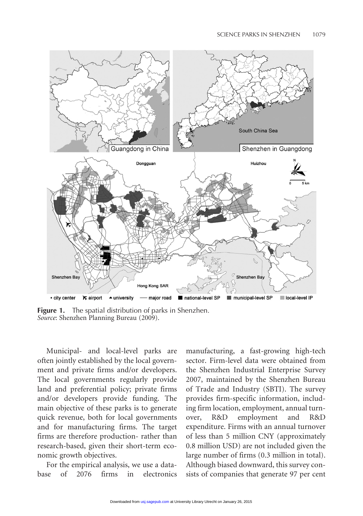

**Figure 1.** The spatial distribution of parks in Shenzhen. Source: Shenzhen Planning Bureau (2009).

Municipal- and local-level parks are often jointly established by the local government and private firms and/or developers. The local governments regularly provide land and preferential policy; private firms and/or developers provide funding. The main objective of these parks is to generate quick revenue, both for local governments and for manufacturing firms. The target firms are therefore production- rather than research-based, given their short-term economic growth objectives.

For the empirical analysis, we use a database of 2076 firms in electronics

manufacturing, a fast-growing high-tech sector. Firm-level data were obtained from the Shenzhen Industrial Enterprise Survey 2007, maintained by the Shenzhen Bureau of Trade and Industry (SBTI). The survey provides firm-specific information, including firm location, employment, annual turnover, R&D employment and R&D expenditure. Firms with an annual turnover of less than 5 million CNY (approximately 0.8 million USD) are not included given the large number of firms (0.3 million in total). Although biased downward, this survey consists of companies that generate 97 per cent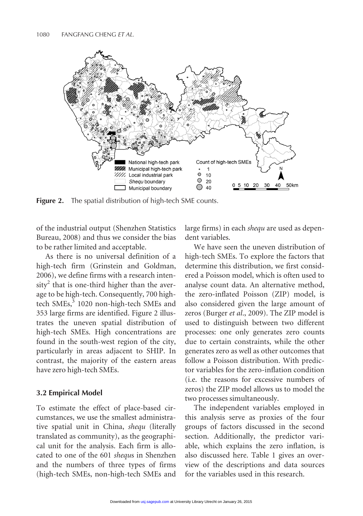

Figure 2. The spatial distribution of high-tech SME counts.

of the industrial output (Shenzhen Statistics Bureau, 2008) and thus we consider the bias to be rather limited and acceptable.

As there is no universal definition of a high-tech firm (Grinstein and Goldman, 2006), we define firms with a research inten $sity<sup>2</sup>$  that is one-third higher than the average to be high-tech. Consequently, 700 hightech SMEs,<sup>3</sup> 1020 non-high-tech SMEs and 353 large firms are identified. Figure 2 illustrates the uneven spatial distribution of high-tech SMEs. High concentrations are found in the south-west region of the city, particularly in areas adjacent to SHIP. In contrast, the majority of the eastern areas have zero high-tech SMEs.

#### 3.2 Empirical Model

To estimate the effect of place-based circumstances, we use the smallest administrative spatial unit in China, shequ (literally translated as community), as the geographical unit for the analysis. Each firm is allocated to one of the 601 shequs in Shenzhen and the numbers of three types of firms (high-tech SMEs, non-high-tech SMEs and large firms) in each shequ are used as dependent variables.

We have seen the uneven distribution of high-tech SMEs. To explore the factors that determine this distribution, we first considered a Poisson model, which is often used to analyse count data. An alternative method, the zero-inflated Poisson (ZIP) model, is also considered given the large amount of zeros (Burger et al., 2009). The ZIP model is used to distinguish between two different processes: one only generates zero counts due to certain constraints, while the other generates zero as well as other outcomes that follow a Poisson distribution. With predictor variables for the zero-inflation condition (i.e. the reasons for excessive numbers of zeros) the ZIP model allows us to model the two processes simultaneously.

The independent variables employed in this analysis serve as proxies of the four groups of factors discussed in the second section. Additionally, the predictor variable, which explains the zero inflation, is also discussed here. Table 1 gives an overview of the descriptions and data sources for the variables used in this research.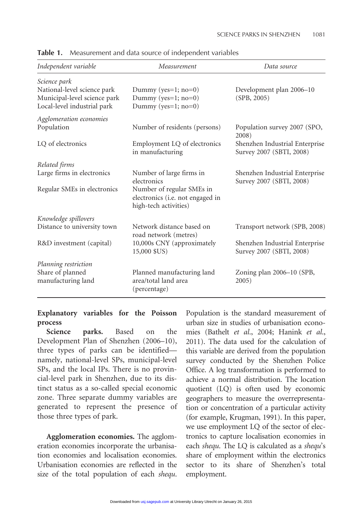| Independent variable                                                                                       | Measurement                                                                            | Data source                                                |  |
|------------------------------------------------------------------------------------------------------------|----------------------------------------------------------------------------------------|------------------------------------------------------------|--|
| Science park<br>National-level science park<br>Municipal-level science park<br>Local-level industrial park | Dummy ( $yes=1$ ; $no=0$ )<br>Dummy (yes=1; no=0)<br>Dummy (yes=1; no=0)               | Development plan 2006-10<br>(SPB, 2005)                    |  |
| Agglomeration economies<br>Population                                                                      | Number of residents (persons)                                                          | Population survey 2007 (SPO,<br>2008)                      |  |
| LQ of electronics                                                                                          | Employment LQ of electronics<br>in manufacturing                                       | Shenzhen Industrial Enterprise<br>Survey 2007 (SBTI, 2008) |  |
| Related firms                                                                                              |                                                                                        |                                                            |  |
| Large firms in electronics                                                                                 | Number of large firms in<br>electronics                                                | Shenzhen Industrial Enterprise<br>Survey 2007 (SBTI, 2008) |  |
| Regular SMEs in electronics                                                                                | Number of regular SMEs in<br>electronics (i.e. not engaged in<br>high-tech activities) |                                                            |  |
| Knowledge spillovers                                                                                       |                                                                                        |                                                            |  |
| Distance to university town                                                                                | Network distance based on<br>road network (metres)                                     | Transport network (SPB, 2008)                              |  |
| R&D investment (capital)                                                                                   | 10,000s CNY (approximately<br>15,000 \$US)                                             | Shenzhen Industrial Enterprise<br>Survey 2007 (SBTI, 2008) |  |
| Planning restriction<br>Share of planned<br>manufacturing land                                             | Planned manufacturing land<br>area/total land area<br>(percentage)                     | Zoning plan 2006-10 (SPB,<br>2005)                         |  |

**Table 1.** Measurement and data source of independent variables

#### Explanatory variables for the Poisson process

Science parks. Based on the Development Plan of Shenzhen (2006–10), three types of parks can be identified namely, national-level SPs, municipal-level SPs, and the local IPs. There is no provincial-level park in Shenzhen, due to its distinct status as a so-called special economic zone. Three separate dummy variables are generated to represent the presence of those three types of park.

Agglomeration economies. The agglomeration economies incorporate the urbanisation economies and localisation economies. Urbanisation economies are reflected in the size of the total population of each shequ.

Population is the standard measurement of urban size in studies of urbanisation economies (Bathelt et al., 2004; Hanink et al., 2011). The data used for the calculation of this variable are derived from the population survey conducted by the Shenzhen Police Office. A log transformation is performed to achieve a normal distribution. The location quotient (LQ) is often used by economic geographers to measure the overrepresentation or concentration of a particular activity (for example, Krugman, 1991). In this paper, we use employment LQ of the sector of electronics to capture localisation economies in each shequ. The LQ is calculated as a shequ's share of employment within the electronics sector to its share of Shenzhen's total employment.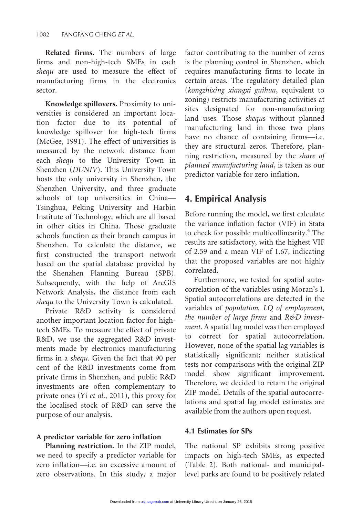Related firms. The numbers of large firms and non-high-tech SMEs in each shequ are used to measure the effect of manufacturing firms in the electronics sector.

Knowledge spillovers. Proximity to universities is considered an important location factor due to its potential of knowledge spillover for high-tech firms (McGee, 1991). The effect of universities is measured by the network distance from each shequ to the University Town in Shenzhen (DUNIV). This University Town hosts the only university in Shenzhen, the Shenzhen University, and three graduate schools of top universities in China— Tsinghua, Peking University and Harbin Institute of Technology, which are all based in other cities in China. Those graduate schools function as their branch campus in Shenzhen. To calculate the distance, we first constructed the transport network based on the spatial database provided by the Shenzhen Planning Bureau (SPB). Subsequently, with the help of ArcGIS Network Analysis, the distance from each shequ to the University Town is calculated.

Private R&D activity is considered another important location factor for hightech SMEs. To measure the effect of private R&D, we use the aggregated R&D investments made by electronics manufacturing firms in a shequ. Given the fact that 90 per cent of the R&D investments come from private firms in Shenzhen, and public R&D investments are often complementary to private ones (Yi et al., 2011), this proxy for the localised stock of R&D can serve the purpose of our analysis.

#### A predictor variable for zero inflation

Planning restriction. In the ZIP model, we need to specify a predictor variable for zero inflation—i.e. an excessive amount of zero observations. In this study, a major

factor contributing to the number of zeros is the planning control in Shenzhen, which requires manufacturing firms to locate in certain areas. The regulatory detailed plan (kongzhixing xiangxi guihua, equivalent to zoning) restricts manufacturing activities at sites designated for non-manufacturing land uses. Those shequs without planned manufacturing land in those two plans have no chance of containing firms—i.e. they are structural zeros. Therefore, planning restriction, measured by the share of planned manufacturing land, is taken as our predictor variable for zero inflation.

# 4. Empirical Analysis

Before running the model, we first calculate the variance inflation factor (VIF) in Stata to check for possible multicollinearity.<sup>4</sup> The results are satisfactory, with the highest VIF of 2.59 and a mean VIF of 1.67, indicating that the proposed variables are not highly correlated.

Furthermore, we tested for spatial autocorrelation of the variables using Moran's I. Spatial autocorrelations are detected in the variables of population, LQ of employment, the number of large firms and R&D investment. A spatial lag model was then employed to correct for spatial autocorrelation. However, none of the spatial lag variables is statistically significant; neither statistical tests nor comparisons with the original ZIP model show significant improvement. Therefore, we decided to retain the original ZIP model. Details of the spatial autocorrelations and spatial lag model estimates are available from the authors upon request.

#### 4.1 Estimates for SPs

The national SP exhibits strong positive impacts on high-tech SMEs, as expected (Table 2). Both national- and municipallevel parks are found to be positively related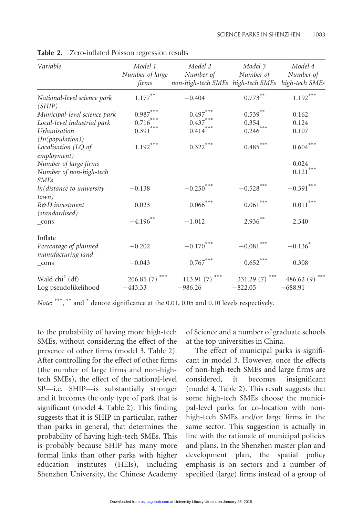| Variable                                               | Model 1<br>Number of large<br>firms | Model 2<br>Number of<br>non-high-tech SMEs high-tech SMEs high-tech SMEs | Model 3<br>Number of       | Model 4<br>Number of   |
|--------------------------------------------------------|-------------------------------------|--------------------------------------------------------------------------|----------------------------|------------------------|
| National-level science park<br>(SHIP)                  | $1.177^\ast{}^\ast$                 | $-0.404$                                                                 | $0.773^\ast{}^\ast$        | $1.192^{\ast\ast\ast}$ |
| Municipal-level science park                           | $0.987^{\ast\ast\ast}$              | $0.497***$                                                               | $0.539***$                 | 0.162                  |
| Local-level industrial park                            | $0.716***$                          | $0.437***$                                                               | 0.354                      | 0.124                  |
| <i><u><b>Urbanisation</b></u></i>                      | $0.391^{\ast\ast\ast}$              | $0.414^{\ast\ast\ast}$                                                   | $0.246\sp{*}{^\ast\sp{*}}$ | 0.107                  |
| (In(population))<br>Localisation (LQ of<br>employment) | $1.192***$                          | $0.322***$                                                               | $0.485^{\ast\ast\ast}$     | 0.604                  |
| Number of large firms<br>Number of non-high-tech       |                                     |                                                                          |                            | $-0.024$<br>0.121      |
| <b>SMEs</b><br>In(distance to university<br>town)      | $-0.138$                            | $-0.250***$                                                              | $-0.528***$                | $-0.391$               |
| R&D investment                                         | 0.023                               | $0.066$ ***                                                              | ${0.061}^{\ast\ast\ast}$   | 0.011                  |
| (standardised)<br>cons                                 | $-4.196$ **                         | $-1.012$                                                                 | $2.936^{**}$               | 2.340                  |
| Inflate<br>Percentage of planned<br>manufacturing land | $-0.202$                            | $-0.170$ ***                                                             | $-0.081$ ***               | $-0.136$ <sup>*</sup>  |
| cons                                                   | $-0.043$                            | $0.767^{\ast\ast\ast}$                                                   | ${0.652}^{\ast\ast\ast}$   | 0.308                  |
| Wald $\text{chi}^2$ (df)<br>Log pseudolikelihood       | 206.85(7)<br>$-443.33$              | 113.91(7)<br>$-986.26$                                                   | 331.29(7)<br>$-822.05$     | 486.62(9)<br>$-688.91$ |

Table 2. Zero-inflated Poisson regression results

Note: \*\*\*, \*\* and \* denote significance at the 0.01, 0.05 and 0.10 levels respectively.

to the probability of having more high-tech SMEs, without considering the effect of the presence of other firms (model 3, Table 2). After controlling for the effect of other firms (the number of large firms and non-hightech SMEs), the effect of the national-level SP—i.e. SHIP—is substantially stronger and it becomes the only type of park that is significant (model 4, Table 2). This finding suggests that it is SHIP in particular, rather than parks in general, that determines the probability of having high-tech SMEs. This is probably because SHIP has many more formal links than other parks with higher education institutes (HEIs), including Shenzhen University, the Chinese Academy of Science and a number of graduate schools at the top universities in China.

The effect of municipal parks is significant in model 3. However, once the effects of non-high-tech SMEs and large firms are considered, it becomes insignificant (model 4, Table 2). This result suggests that some high-tech SMEs choose the municipal-level parks for co-location with nonhigh-tech SMEs and/or large firms in the same sector. This suggestion is actually in line with the rationale of municipal policies and plans. In the Shenzhen master plan and development plan, the spatial policy emphasis is on sectors and a number of specified (large) firms instead of a group of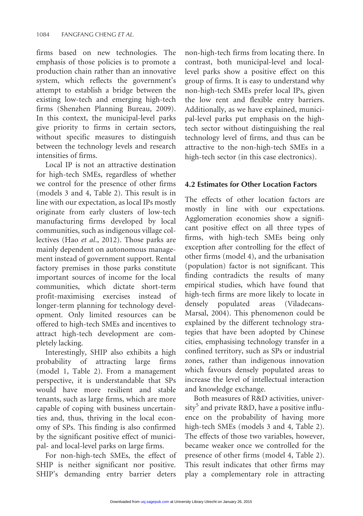firms based on new technologies. The emphasis of those policies is to promote a production chain rather than an innovative system, which reflects the government's attempt to establish a bridge between the existing low-tech and emerging high-tech firms (Shenzhen Planning Bureau, 2009). In this context, the municipal-level parks give priority to firms in certain sectors, without specific measures to distinguish between the technology levels and research intensities of firms.

Local IP is not an attractive destination for high-tech SMEs, regardless of whether we control for the presence of other firms (models 3 and 4, Table 2). This result is in line with our expectation, as local IPs mostly originate from early clusters of low-tech manufacturing firms developed by local communities, such as indigenous village collectives (Hao et al., 2012). Those parks are mainly dependent on autonomous management instead of government support. Rental factory premises in those parks constitute important sources of income for the local communities, which dictate short-term profit-maximising exercises instead of longer-term planning for technology development. Only limited resources can be offered to high-tech SMEs and incentives to attract high-tech development are completely lacking.

Interestingly, SHIP also exhibits a high probability of attracting large firms (model 1, Table 2). From a management perspective, it is understandable that SPs would have more resilient and stable tenants, such as large firms, which are more capable of coping with business uncertainties and, thus, thriving in the local economy of SPs. This finding is also confirmed by the significant positive effect of municipal- and local-level parks on large firms.

For non-high-tech SMEs, the effect of SHIP is neither significant nor positive. SHIP's demanding entry barrier deters

non-high-tech firms from locating there. In contrast, both municipal-level and locallevel parks show a positive effect on this group of firms. It is easy to understand why non-high-tech SMEs prefer local IPs, given the low rent and flexible entry barriers. Additionally, as we have explained, municipal-level parks put emphasis on the hightech sector without distinguishing the real technology level of firms, and thus can be attractive to the non-high-tech SMEs in a high-tech sector (in this case electronics).

#### 4.2 Estimates for Other Location Factors

The effects of other location factors are mostly in line with our expectations. Agglomeration economies show a significant positive effect on all three types of firms, with high-tech SMEs being only exception after controlling for the effect of other firms (model 4), and the urbanisation (population) factor is not significant. This finding contradicts the results of many empirical studies, which have found that high-tech firms are more likely to locate in densely populated areas (Viladecans-Marsal, 2004). This phenomenon could be explained by the different technology strategies that have been adopted by Chinese cities, emphasising technology transfer in a confined territory, such as SPs or industrial zones, rather than indigenous innovation which favours densely populated areas to increase the level of intellectual interaction and knowledge exchange.

Both measures of R&D activities, university<sup>5</sup> and private R&D, have a positive influence on the probability of having more high-tech SMEs (models 3 and 4, Table 2). The effects of those two variables, however, became weaker once we controlled for the presence of other firms (model 4, Table 2). This result indicates that other firms may play a complementary role in attracting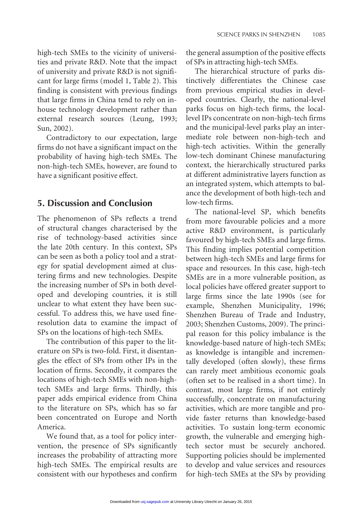high-tech SMEs to the vicinity of universities and private R&D. Note that the impact of university and private R&D is not significant for large firms (model 1, Table 2). This finding is consistent with previous findings that large firms in China tend to rely on inhouse technology development rather than external research sources (Leung, 1993; Sun, 2002).

Contradictory to our expectation, large firms do not have a significant impact on the probability of having high-tech SMEs. The non-high-tech SMEs, however, are found to have a significant positive effect.

# 5. Discussion and Conclusion

The phenomenon of SPs reflects a trend of structural changes characterised by the rise of technology-based activities since the late 20th century. In this context, SPs can be seen as both a policy tool and a strategy for spatial development aimed at clustering firms and new technologies. Despite the increasing number of SPs in both developed and developing countries, it is still unclear to what extent they have been successful. To address this, we have used fineresolution data to examine the impact of SPs on the locations of high-tech SMEs.

The contribution of this paper to the literature on SPs is two-fold. First, it disentangles the effect of SPs from other IPs in the location of firms. Secondly, it compares the locations of high-tech SMEs with non-hightech SMEs and large firms. Thirdly, this paper adds empirical evidence from China to the literature on SPs, which has so far been concentrated on Europe and North America.

We found that, as a tool for policy intervention, the presence of SPs significantly increases the probability of attracting more high-tech SMEs. The empirical results are consistent with our hypotheses and confirm

the general assumption of the positive effects of SPs in attracting high-tech SMEs.

The hierarchical structure of parks distinctively differentiates the Chinese case from previous empirical studies in developed countries. Clearly, the national-level parks focus on high-tech firms, the locallevel IPs concentrate on non-high-tech firms and the municipal-level parks play an intermediate role between non-high-tech and high-tech activities. Within the generally low-tech dominant Chinese manufacturing context, the hierarchically structured parks at different administrative layers function as an integrated system, which attempts to balance the development of both high-tech and low-tech firms.

The national-level SP, which benefits from more favourable policies and a more active R&D environment, is particularly favoured by high-tech SMEs and large firms. This finding implies potential competition between high-tech SMEs and large firms for space and resources. In this case, high-tech SMEs are in a more vulnerable position, as local policies have offered greater support to large firms since the late 1990s (see for example, Shenzhen Municipality, 1996; Shenzhen Bureau of Trade and Industry, 2003; Shenzhen Customs, 2009). The principal reason for this policy imbalance is the knowledge-based nature of high-tech SMEs; as knowledge is intangible and incrementally developed (often slowly), these firms can rarely meet ambitious economic goals (often set to be realised in a short time). In contrast, most large firms, if not entirely successfully, concentrate on manufacturing activities, which are more tangible and provide faster returns than knowledge-based activities. To sustain long-term economic growth, the vulnerable and emerging hightech sector must be securely anchored. Supporting policies should be implemented to develop and value services and resources for high-tech SMEs at the SPs by providing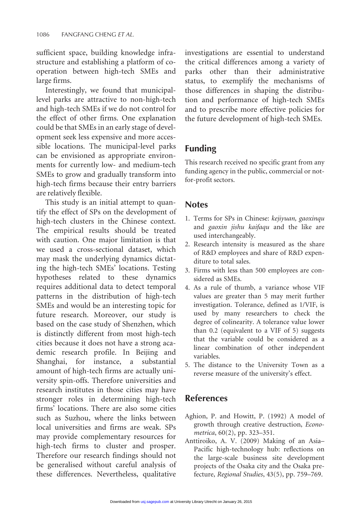sufficient space, building knowledge infrastructure and establishing a platform of cooperation between high-tech SMEs and large firms.

Interestingly, we found that municipallevel parks are attractive to non-high-tech and high-tech SMEs if we do not control for the effect of other firms. One explanation could be that SMEs in an early stage of development seek less expensive and more accessible locations. The municipal-level parks can be envisioned as appropriate environments for currently low- and medium-tech SMEs to grow and gradually transform into high-tech firms because their entry barriers are relatively flexible.

This study is an initial attempt to quantify the effect of SPs on the development of high-tech clusters in the Chinese context. The empirical results should be treated with caution. One major limitation is that we used a cross-sectional dataset, which may mask the underlying dynamics dictating the high-tech SMEs' locations. Testing hypotheses related to these dynamics requires additional data to detect temporal patterns in the distribution of high-tech SMEs and would be an interesting topic for future research. Moreover, our study is based on the case study of Shenzhen, which is distinctly different from most high-tech cities because it does not have a strong academic research profile. In Beijing and Shanghai, for instance, a substantial amount of high-tech firms are actually university spin-offs. Therefore universities and research institutes in those cities may have stronger roles in determining high-tech firms' locations. There are also some cities such as Suzhou, where the links between local universities and firms are weak. SPs may provide complementary resources for high-tech firms to cluster and prosper. Therefore our research findings should not be generalised without careful analysis of these differences. Nevertheless, qualitative

investigations are essential to understand the critical differences among a variety of parks other than their administrative status, to exemplify the mechanisms of those differences in shaping the distribution and performance of high-tech SMEs and to prescribe more effective policies for the future development of high-tech SMEs.

# Funding

This research received no specific grant from any funding agency in the public, commercial or notfor-profit sectors.

## **Notes**

- 1. Terms for SPs in Chinese: kejiyuan, gaoxinqu and gaoxin jishu kaifaqu and the like are used interchangeably.
- 2. Research intensity is measured as the share of R&D employees and share of R&D expenditure to total sales.
- 3. Firms with less than 500 employees are considered as SMEs.
- 4. As a rule of thumb, a variance whose VIF values are greater than 5 may merit further investigation. Tolerance, defined as 1/VIF, is used by many researchers to check the degree of colinearity. A tolerance value lower than 0.2 (equivalent to a VIF of 5) suggests that the variable could be considered as a linear combination of other independent variables.
- 5. The distance to the University Town as a reverse measure of the university's effect.

# References

- Aghion, P. and Howitt, P. (1992) A model of growth through creative destruction, Econometrica, 60(2), pp. 323–351.
- Anttiroiko, A. V. (2009) Making of an Asia– Pacific high-technology hub: reflections on the large-scale business site development projects of the Osaka city and the Osaka prefecture, Regional Studies, 43(5), pp. 759–769.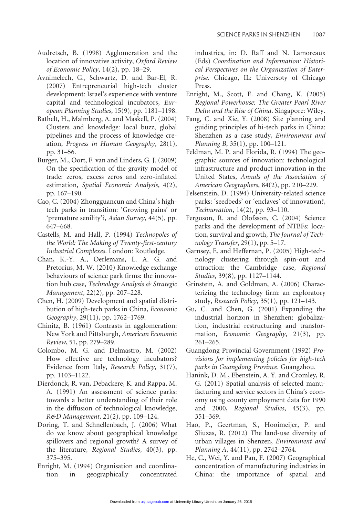- Audretsch, B. (1998) Agglomeration and the location of innovative activity, Oxford Review of Economic Policy, 14(2), pp. 18–29.
- Avnimelech, G., Schwartz, D. and Bar-El, R. (2007) Entrepreneurial high-tech cluster development: Israel's experience with venture capital and technological incubators, European Planning Studies, 15(9), pp. 1181–1198.
- Bathelt, H., Malmberg, A. and Maskell, P. (2004) Clusters and knowledge: local buzz, global pipelines and the process of knowledge creation, Progress in Human Geography, 28(1), pp. 31–56.
- Burger, M., Oort, F. van and Linders, G. J. (2009) On the specification of the gravity model of trade: zeros, excess zeros and zero-inflated estimation, Spatial Economic Analysis, 4(2), pp. 167–190.
- Cao, C. (2004) Zhongguancun and China's hightech parks in transition: 'Growing pains' or 'premature senility'?, Asian Survey, 44(5), pp. 647–668.
- Castells, M. and Hall, P. (1994) Technopoles of the World: The Making of Twenty-first-century Industrial Complexes. London: Routledge.
- Chan, K.-Y. A., Oerlemans, L. A. G. and Pretorius, M. W. (2010) Knowledge exchange behaviours of science park firms: the innovation hub case, Technology Analysis & Strategic Management, 22(2), pp. 207–228.
- Chen, H. (2009) Development and spatial distribution of high-tech parks in China, Economic Geography, 29(11), pp. 1762–1769.
- Chinitz, B. (1961) Contrasts in agglomeration: New York and Pittsburgh, American Economic Review, 51, pp. 279–289.
- Colombo, M. G. and Delmastro, M. (2002) How effective are technology incubators? Evidence from Italy, Research Policy, 31(7), pp. 1103–1122.
- Dierdonck, R. van, Debackere, K. and Rappa, M. A. (1991) An assessment of science parks: towards a better understanding of their role in the diffusion of technological knowledge, R&D Management, 21(2), pp. 109–124.
- Doring, T. and Schnellenbach, J. (2006) What do we know about geographical knowledge spillovers and regional growth? A survey of the literature, Regional Studies, 40(3), pp. 375–395.
- Enright, M. (1994) Organisation and coordination in geographically concentrated

industries, in: D. Raff and N. Lamoreaux (Eds) Coordination and Information: Historical Perspectives on the Organization of Enterprise. Chicago, IL: Universoty of Chicago Press.

- Enright, M., Scott, E. and Chang, K. (2005) Regional Powerhouse: The Greater Pearl River Delta and the Rise of China. Singapore: Wiley.
- Fang, C. and Xie, Y. (2008) Site planning and guiding principles of hi-tech parks in China: Shenzhen as a case study, Environment and Planning B, 35(1), pp. 100–121.
- Feldman, M. P. and Florida, R. (1994) The geographic sources of innovation: technological infrastructure and product innovation in the United States, Annals of the Association of American Geographers, 84(2), pp. 210–229.
- Felsenstein, D. (1994) University-related science parks: 'seedbeds' or 'enclaves' of innovation?, Technovation, 14(2), pp. 93–110.
- Ferguson, R. and Olofsson, C. (2004) Science parks and the development of NTBFs: location, survival and growth, The Journal of Technology Transfer, 29(1), pp. 5–17.
- Garnsey, E. and Heffernan, P. (2005) High-technology clustering through spin-out and attraction: the Cambridge case, Regional Studies, 39(8), pp. 1127–1144.
- Grinstein, A. and Goldman, A. (2006) Characterizing the technology firm: an exploratory study, Research Policy, 35(1), pp. 121–143.
- Gu, C. and Chen, G. (2001) Expanding the industrial horizon in Shenzhen: globalization, industrial restructuring and transformation, *Economic Geography*, 21(3), pp. 261–265.
- Guangdong Provincial Government (1992) Provisions for implementing policies for high-tech parks in Guangdong Province. Guangzhou.
- Hanink, D. M., Ebenstein, A. Y. and Cromley, R. G. (2011) Spatial analysis of selected manufacturing and service sectors in China's economy using county employment data for 1990 and 2000, Regional Studies, 45(3), pp. 351–369.
- Hao, P., Geertman, S., Hooimeijer, P. and Sliuzas, R. (2012) The land-use diversity of urban villages in Shenzen, Environment and Planning A, 44(11), pp. 2742–2764.
- He, C., Wei, Y. and Pan, F. (2007) Geographical concentration of manufacturing industries in China: the importance of spatial and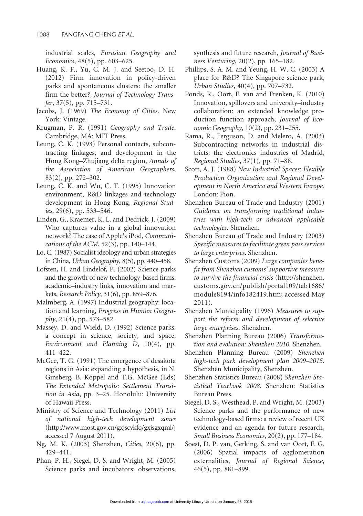industrial scales, Eurasian Geography and Economics, 48(5), pp. 603–625.

- Huang, K. F., Yu, C. M. J. and Seetoo, D. H. (2012) Firm innovation in policy-driven parks and spontaneous clusters: the smaller firm the better?, Journal of Technology Transfer, 37(5), pp. 715–731.
- Jacobs, J. (1969) The Economy of Cities. New York: Vintage.
- Krugman, P. R. (1991) Geography and Trade. Cambridge, MA: MIT Press.
- Leung, C. K. (1993) Personal contacts, subcontracting linkages, and development in the Hong Kong–Zhujiang delta region, Annals of the Association of American Geographers, 83(2), pp. 272–302.
- Leung, C. K. and Wu, C. T. (1995) Innovation environment, R&D linkages and technology development in Hong Kong, Regional Studies, 29(6), pp. 533–546.
- Linden, G., Kraemer, K. L. and Dedrick, J. (2009) Who captures value in a global innovation network? The case of Apple's iPod, Communications of the ACM, 52(3), pp. 140–144.
- Lo, C. (1987) Socialist ideology and urban strategies in China, Urban Geography, 8(5), pp. 440–458.
- Lofsten, H. and Lindelof, P. (2002) Science parks and the growth of new technology-based firms: academic–industry links, innovation and markets, Research Policy, 31(6), pp. 859–876.
- Malmberg, A. (1997) Industrial geography: location and learning, Progress in Human Geogra $phy, 21(4), pp. 573-582.$
- Massey, D. and Wield, D. (1992) Science parks: a concept in science, society, and space, Environment and Planning D, 10(4), pp. 411–422.
- McGee, T. G. (1991) The emergence of desakota regions in Asia: expanding a hypothesis, in N. Ginsberg, B. Koppel and T.G. McGee (Eds) The Extended Metropolis: Settlement Transition in Asia, pp. 3–25. Honolulu: University of Hawaii Press.
- Ministry of Science and Technology (2011) List of national high-tech development zones (http://www.most.gov.cn/gxjscykfq/gxjsgxqml/; accessed 7 August 2011).
- Ng, M. K. (2003) Shenzhen, Cities, 20(6), pp. 429–441.
- Phan, P. H., Siegel, D. S. and Wright, M. (2005) Science parks and incubators: observations,

synthesis and future research, Journal of Business Venturing, 20(2), pp. 165–182.

- Phillips, S. A. M. and Yeung, H. W. C. (2003) A place for R&D? The Singapore science park, Urban Studies, 40(4), pp. 707–732.
- Ponds, R., Oort, F. van and Frenken, K. (2010) Innovation, spillovers and university–industry collaboration: an extended knowledge production function approach, Journal of Economic Geography, 10(2), pp. 231–255.
- Rama, R., Ferguson, D. and Melero, A. (2003) Subcontracting networks in industrial districts: the electronics industries of Madrid, Regional Studies, 37(1), pp. 71–88.
- Scott, A. J. (1988) New Industrial Spaces: Flexible Production Organization and Regional Development in North America and Western Europe. London: Pion.
- Shenzhen Bureau of Trade and Industry (2001) Guidance on transforming traditional industries with high-tech or advanced applicable technologies. Shenzhen.
- Shenzhen Bureau of Trade and Industry (2003) Specific measures to facilitate green pass services to large enterprises. Shenzhen.
- Shenzhen Customs (2009) Large companies benefit from Shenzhen customs' supportive measures to survive the financial crisis (http://shenzhen. customs.gov.cn/publish/portal109/tab1686/ module8194/info182419.htm; accessed May 2011).
- Shenzhen Municipality (1996) Measures to support the reform and development of selective large enterprises. Shenzhen.
- Shenzhen Planning Bureau (2006) Transformation and evolution: Shenzhen 2010. Shenzhen.
- Shenzhen Planning Bureau (2009) Shenzhen high-tech park development plan 2009–2015. Shenzhen Municipality, Shenzhen.
- Shenzhen Statistics Bureau (2008) Shenzhen Statistical Yearbook 2008. Shenzhen: Statistics Bureau Press.
- Siegel, D. S., Westhead, P. and Wright, M. (2003) Science parks and the performance of new technology-based firms: a review of recent UK evidence and an agenda for future research, Small Business Economics, 20(2), pp. 177–184.
- Soest, D. P. van, Gerking, S. and van Oort, F. G. (2006) Spatial impacts of agglomeration externalities, Journal of Regional Science, 46(5), pp. 881–899.